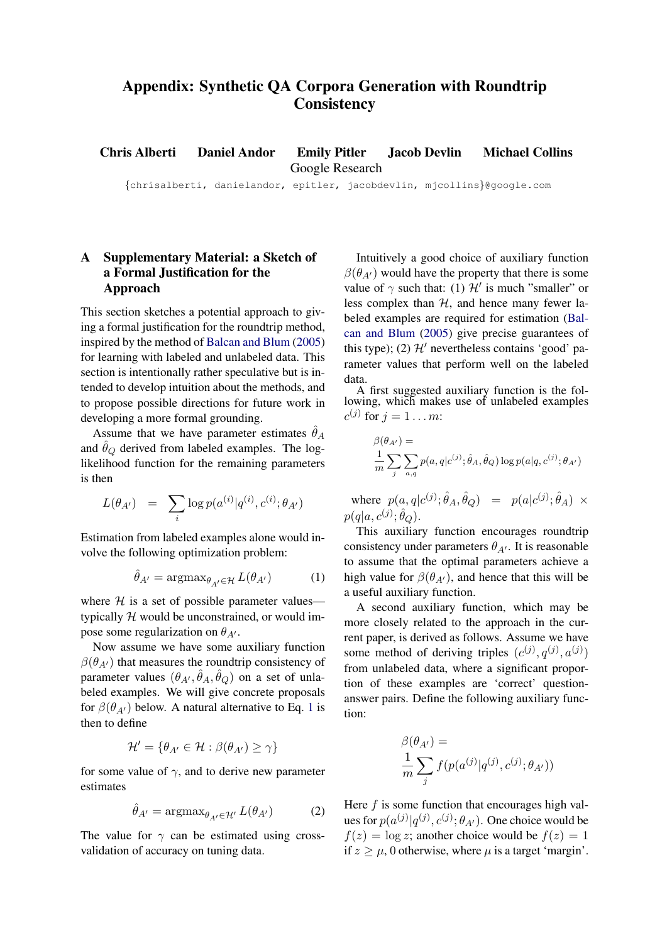## Appendix: Synthetic QA Corpora Generation with Roundtrip **Consistency**

Chris Alberti Daniel Andor Emily Pitler Jacob Devlin Michael Collins Google Research

{chrisalberti, danielandor, epitler, jacobdevlin, mjcollins}@google.com

## A Supplementary Material: a Sketch of a Formal Justification for the Approach

This section sketches a potential approach to giving a formal justification for the roundtrip method, inspired by the method of [Balcan and Blum](#page-1-0) [\(2005\)](#page-1-0) for learning with labeled and unlabeled data. This section is intentionally rather speculative but is intended to develop intuition about the methods, and to propose possible directions for future work in developing a more formal grounding.

Assume that we have parameter estimates  $\theta_A$ and  $\hat{\theta}_Q$  derived from labeled examples. The loglikelihood function for the remaining parameters is then

$$
L(\theta_{A'}) \;\; = \;\; \sum_i \log p(a^{(i)} | q^{(i)}, c^{(i)}; \theta_{A'})
$$

Estimation from labeled examples alone would involve the following optimization problem:

$$
\hat{\theta}_{A'} = \operatorname{argmax}_{\theta_{A'} \in \mathcal{H}} L(\theta_{A'}) \tag{1}
$$

where  $H$  is a set of possible parameter values typically  $H$  would be unconstrained, or would impose some regularization on  $\theta_{A}$ .

Now assume we have some auxiliary function  $\beta(\theta_{A})$  that measures the roundtrip consistency of parameter values  $(\theta_{A'}, \hat{\theta}_A, \hat{\theta}_Q)$  on a set of unlabeled examples. We will give concrete proposals for  $\beta(\theta_{A})$  below. A natural alternative to Eq. [1](#page-0-0) is then to define

$$
\mathcal{H}' = \{ \theta_{A'} \in \mathcal{H} : \beta(\theta_{A'}) \ge \gamma \}
$$

for some value of  $\gamma$ , and to derive new parameter estimates

<span id="page-0-1"></span>
$$
\hat{\theta}_{A'} = \operatorname{argmax}_{\theta_{A'} \in \mathcal{H}'} L(\theta_{A'}) \tag{2}
$$

The value for  $\gamma$  can be estimated using crossvalidation of accuracy on tuning data.

Intuitively a good choice of auxiliary function  $\beta(\theta_{A})$  would have the property that there is some value of  $\gamma$  such that: (1)  $\mathcal{H}'$  is much "smaller" or less complex than  $H$ , and hence many fewer labeled examples are required for estimation [\(Bal](#page-1-0)[can and Blum](#page-1-0) [\(2005\)](#page-1-0) give precise guarantees of this type); (2)  $\mathcal{H}'$  nevertheless contains 'good' parameter values that perform well on the labeled data.

A first suggested auxiliary function is the following, which makes use of unlabeled examples  $c^{(j)}$  for  $j = 1 \ldots m$ :

$$
\beta(\theta_{A'}) = \frac{1}{m} \sum_{j} \sum_{a,q} p(a,q|c^{(j)}; \hat{\theta}_A, \hat{\theta}_Q) \log p(a|q, c^{(j)}; \theta_{A'})
$$

where  $p(a,q|c^{(j)};\hat{\theta}_A,\hat{\theta}_Q) = p(a|c^{(j)};\hat{\theta}_A) \times$  $p(q|a,c^{(j)}; \hat{\theta}_{Q}).$ 

<span id="page-0-0"></span>This auxiliary function encourages roundtrip consistency under parameters  $\theta_{A'}$ . It is reasonable to assume that the optimal parameters achieve a high value for  $\beta(\theta_{A})$ , and hence that this will be a useful auxiliary function.

A second auxiliary function, which may be more closely related to the approach in the current paper, is derived as follows. Assume we have some method of deriving triples  $(c^{(j)}, q^{(j)}, a^{(j)})$ from unlabeled data, where a significant proportion of these examples are 'correct' questionanswer pairs. Define the following auxiliary function:

$$
\beta(\theta_{A'}) = \frac{1}{m} \sum_j f(p(a^{(j)}|q^{(j)}, c^{(j)}; \theta_{A'}))
$$

Here  $f$  is some function that encourages high values for  $p(a^{(j)}|q^{(j)}, c^{(j)}; \theta_{A'})$ . One choice would be  $f(z) = \log z$ ; another choice would be  $f(z) = 1$ if  $z \geq \mu$ , 0 otherwise, where  $\mu$  is a target 'margin'.